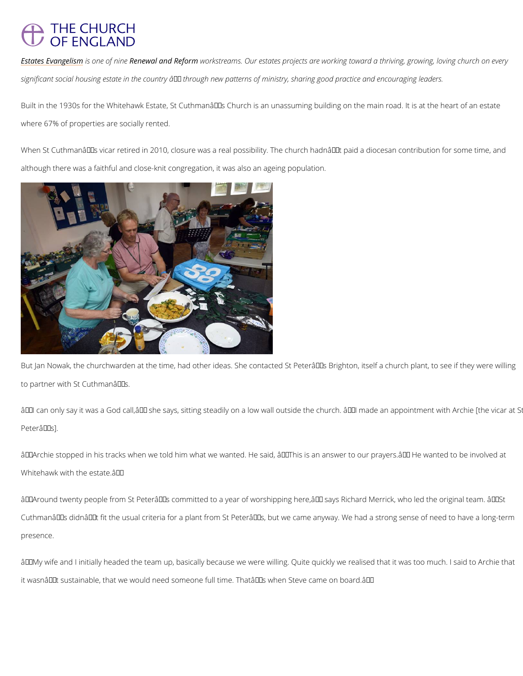## **THE CHURCH OF ENGLAND**

[Estates Eva](/about/renewal-reform/estates)nigedinsem of Rennie wal and Rweofrokrsmtreams. Our estates projects are working toward a thr significant social housing estate in the country  $\hat{\mathbf{a}} \in$  through new patterns of ministry, sharing

Built in the 1930s for the Whitehawk Estate, St Cuthmanâ $\epsilon$ ™s Church is an unassuming build where 67% of properties are socially rented.

When St Cuthmanâ $\epsilon$ <sup>TM</sup>s vicar retired in 2010, closure was a real possibility. The church hadn although there was a faithful and close-knit congregation, it was also an ageing population.

But Jan Nowak, the churchwarden at the time, had other ideas. She contacted St Peterâ $\epsilon$  TM s to partner with St Cuthman $\hat{a} \in \mathbb{M}$  s.

 $\hat{\mathbf{a}} \in \tilde{\mathbf{a}}$  can only say it was a God call, $\hat{\mathbf{a}} \in \mathbb{M}$  she says, sitting steadily on a low wall outside the  $P$ eterâ $\in$ ™s].

â€~Archie stopped in his tracks when we told him what we wanted. He said, "This is an ar Whitehawk with the estate. $\hat{a} \in T^M$ 

â€~Around twenty people from St Peter's committed to a year of worshipping here,' sa

Cuthmanâ $\epsilon$ ™s didnâ $\epsilon$ ™t fit the usual criteria for a plant from St Peterâ $\epsilon$ ™s, but we came an' presence.

 $\hat{a} \in \tilde{a}$  wife and I initially headed the team up, basically because we were willing. Quite quicl it wasn't sustainable, that we would need someone full time. That's when Steve came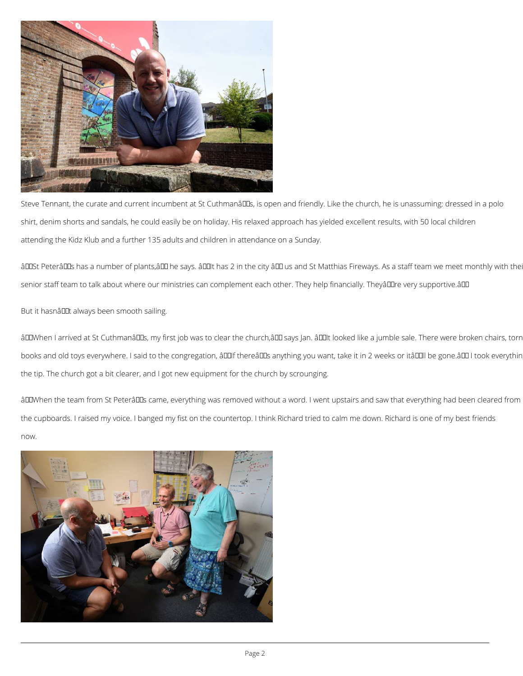

Steve Tennant, the curate and current incumbent at St Cuthmanâlles, is open and friendly. Like the church, he is unassuming: dressed in a polo shirt, denim shorts and sandals, he could easily be on holiday. His relaxed approach has yielded excellent results, with 50 local children attending the Kidz Klub and a further 135 adults and children in attendance on a Sunday.

âDOSt PeterâDOs has a number of plants,âDO he says. âDOIt has 2 in the city âDO us and St Matthias Fireways. As a staff team we meet monthly with the senior staff team to talk about where our ministries can complement each other. They help financially. Theyâlllre very supportive.âlll

But it hasnâllIt always been smooth sailing.

âDIWhen I arrived at St CuthmanâDIs, my first job was to clear the church,âDI says Jan. âDIIt looked like a jumble sale. There were broken chairs, torn books and old toys everywhere. I said to the congregation, âDDIf thereâDDs anything you want, take it in 2 weeks or itâDDII be gone.âDDI took everythin the tip. The church got a bit clearer, and I got new equipment for the church by scrounging.

âDIWhen the team from St PeterâDIS came, everything was removed without a word. I went upstairs and saw that everything had been cleared from the cupboards. I raised my voice. I banged my fist on the countertop. I think Richard tried to calm me down. Richard is one of my best friends now.

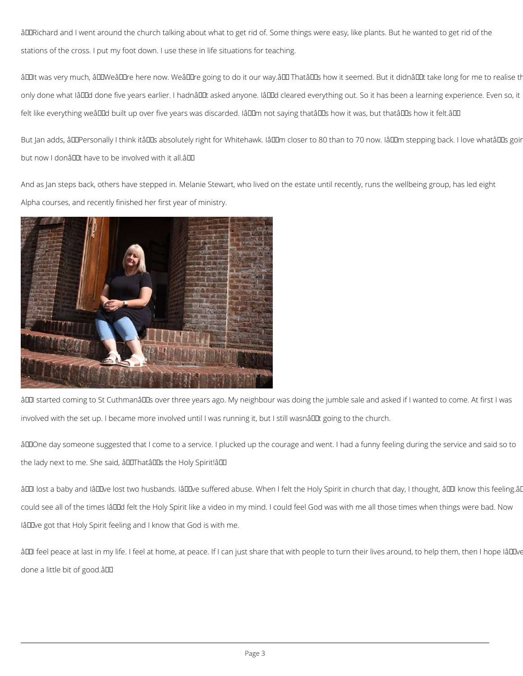âDIRichard and I went around the church talking about what to get rid of. Some things were easy, like plants. But he wanted to get rid of the stations of the cross. I put my foot down. I use these in life situations for teaching.

âDDIt was very much, âDDWeâDDre here now. WeâDDre going to do it our way.âDD ThatâDDs how it seemed. But it didnâDDt take long for me to realise th only done what IâDDd done five years earlier. I hadnâDDt asked anyone. IâDDd cleared everything out. So it has been a learning experience. Even so, it felt like everything weâDDd built up over five years was discarded. IâDDm not saying thatâDDs how it was, but thatâDDs how it felt.âDD

But Jan adds, âDDPersonally I think itâDDs absolutely right for Whitehawk. IâDDm closer to 80 than to 70 now. IâDDm stepping back. I love whatâDDs goir but now I donâuut have to be involved with it all.âuu

And as Jan steps back, others have stepped in. Melanie Stewart, who lived on the estate until recently, runs the wellbeing group, has led eight Alpha courses, and recently finished her first year of ministry.



âDDI started coming to St CuthmanâDDs over three years ago. My neighbour was doing the jumble sale and asked if I wanted to come. At first I was involved with the set up. I became more involved until I was running it, but I still wasnâle going to the church.

âDDOne day someone suggested that I come to a service. I plucked up the courage and went. I had a funny feeling during the service and said so to the lady next to me. She said, âDIThatâDDs the Holy Spirit!âDD

âDDI lost a baby and IâDDve lost two husbands. IâDDve suffered abuse. When I felt the Holy Spirit in church that day, I thought, âDDI know this feeling.â

could see all of the times IâDDd felt the Holy Spirit like a video in my mind. I could feel God was with me all those times when things were bad. Now

IâDDve got that Holy Spirit feeling and I know that God is with me.

âDDI feel peace at last in my life. I feel at home, at peace. If I can just share that with people to turn their lives around, to help them, then I hope IâDDve

done a little bit of good.â